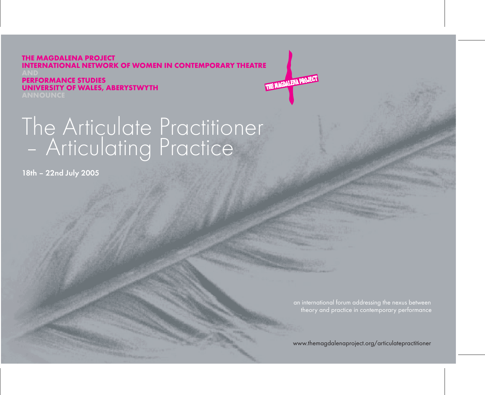**THE MAGDALENA PROJECT INTERNATIONAL NETWORK OF WOMEN IN CONTEMPORARY THEATRE** THE MAGDALENA PROJECT

**PERFORMANCE STUDIES UNIVERSITY OF WALES, ABERYSTWYTH**

# - Articulating Practice  $\overline{)}$ <br>18th – 22nd July 2005

18th – 22nd July 2005

www.themagdalenaproject.org/articulatepractitioner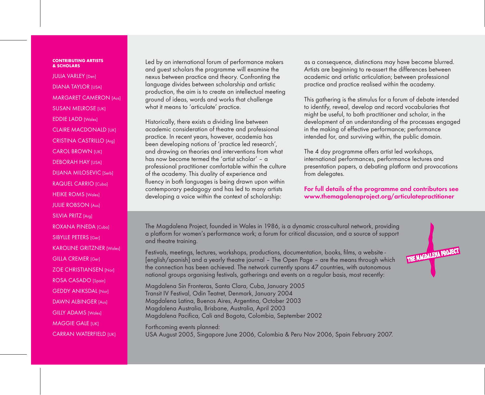#### **CONTRIBUTING ARTISTS & SCHOLARS**

JULIA VARLEY [Den] DIANA TAYLOR **IUSAI** MARGARET CAMERON [Aus] **SUSAN MELROSE [UK]** EDDIE LADD [Wales] CLAIRE MACDONALD [UK] CRISTINA CASTRILLO [Arg] CAROL BROWN [UK] DEBORAH HAY **IUSAI** DIJANA MILOSEVIC [Serb] RAQUEL CARRIO [Cuba] **HEIKE ROMS [Wales]** JULIE ROBSON [Aus] SILVIA PRITZ [Arg] ROXANA PINEDA [Cuba] SIBYLLE PETERS [Ger] KAROLINE GRITZNER [Wales] GILLA CREMER [Ger] ZOE CHRISTIANSEN [Nor] ROSA CASADO [Spain] GEDDY ANIKSDAL [Nor] DAWN ALBINGER [Aus] GILLY ADAMS [Wales] **MAGGIE GALE [UK]** CARRAN WATERFIELD [UK]

Led by an international forum of performance makers and guest scholars the programme will examine the nexus between practice and theory. Confronting the language divides between scholarship and artistic production, the aim is to create an intellectual meeting ground of ideas, words and works that challenge what it means to 'articulate' practice.

Historically, there exists a dividing line between academic consideration of theatre and professional practice. In recent years, however, academia has been developing notions of 'practice led research', and drawing on theories and interventions from what has now become termed the 'artist scholar' – a professional practitioner comfortable within the culture of the academy. This duality of experience and fluency in both languages is being drawn upon within contemporary pedagogy and has led to many artists developing a voice within the context of scholarship:

as a consequence, distinctions may have become blurred. Artists are beginning to re-assert the differences between academic and artistic articulation; between professional practice and practice realised within the academy.

This gathering is the stimulus for a forum of debate intended to identify, reveal, develop and record vocabularies that might be useful, to both practitioner and scholar, in the development of an understanding of the processes engaged in the making of effective performance; performance intended for, and surviving within, the public domain.

The 4 day programme offers artist led workshops, international performances, performance lectures and presentation papers, a debating platform and provocations from delegates.

For full details of the programme and contributors see www.themagalenaproject.org/articulatepractitioner

The Magdalena Project, founded in Wales in 1986, is a dynamic cross-cultural network, providing a platform for women's performance work; a forum for critical discussion, and a source of support and theatre training.

Festivals, meetings, lectures, workshops, productions, documentation, books, films, a website - [english/spanish] and a yearly theatre journal – The Open Page – are the means through which the connection has been achieved. The network currently spans 47 countries, with autonomous national groups organising festivals, gatherings and events on a regular basis, most recently:

Magdalena Sin Fronteras, Santa Clara, Cuba, January 2005 Transit IV Festival, Odin Teatret, Denmark, January 2004 Magdalena Latina, Buenos Aires, Argentina, October 2003 Magdalena Australia, Brisbane, Australia, April 2003 Magdalena Pacifica, Cali and Bogota, Colombia, September 2002

Forthcoming events planned: USA August 2005, Singapore June 2006, Colombia & Peru Nov 2006, Spain February 2007.

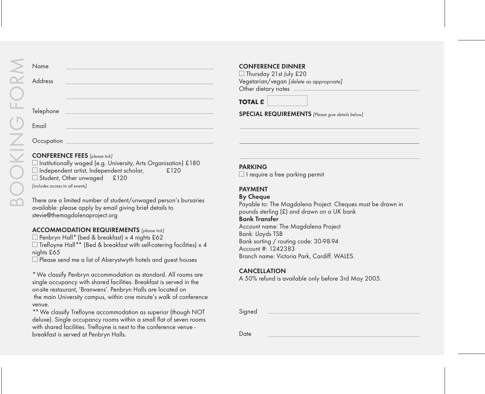#### **Occupation**

## CONFERENCE FEES *[please tick]*

 $\square$  Institutionally waged (e.g. University, Arts Organisation) £180  $\Box$  Independent artist, Independent scholar,  $\Box$  £120 □ Student, Other unwaged £120 *[includes access to all events]*

There are a limited number of student/unwaged person's bursaries available: please apply by email giving brief details to stevie@themagdalenaproject.org

### ACCOMMODATION REQUIREMENTS *[please tick]*

 $\square$  Penbryn Hall\* (bed & breakfast) x 4 nights £62  $\Box$  Trefloyne Hall\*\* (Bed & breakfast with self-catering facilities) x 4 nights £65

 $\square$  Please send me a list of Aberystwyth hotels and guest houses

\* We classify Penbryn accommodation as standard. All rooms are single occupancy with shared facilities. Breakfast is served in the on-site restaurant, 'Branwens'. Penbryn Halls are located on the main University campus, within one minute's walk of conference venue.

\*\* We classify Trefloyne accommodation as superior (though NOT deluxe). Single occupancy rooms within a small flat of seven rooms with shared facilities. Trefloyne is next to the conference venue breakfast is served at Penbryn Halls.

## CONFERENCE DINNER

 $\Box$  Thursday 21st July £20 Vegetarian/vegan *[delete as appropriate]* Other dietary notes

**TOTAL £**

SPECIAL REQUIREMENTS *[Please give details below]*

#### PARKING

 $\Box$  I require a free parking permit

## **PAYMENT**

#### **By Cheque**

Payable to: The Magdalena Project. Cheques must be drawn in pounds sterling (£) and drawn on a UK bank

#### Bank Transfer

Account name: The Magdalena Project Bank: Lloyds TSB Bank sorting / routing code: 30-98-94 Account #: 1242383 Branch name: Victoria Park, Cardiff. WALES.

#### CANCELLATION

A 50% refund is available only before 3rd May 2005.

Signed

Date